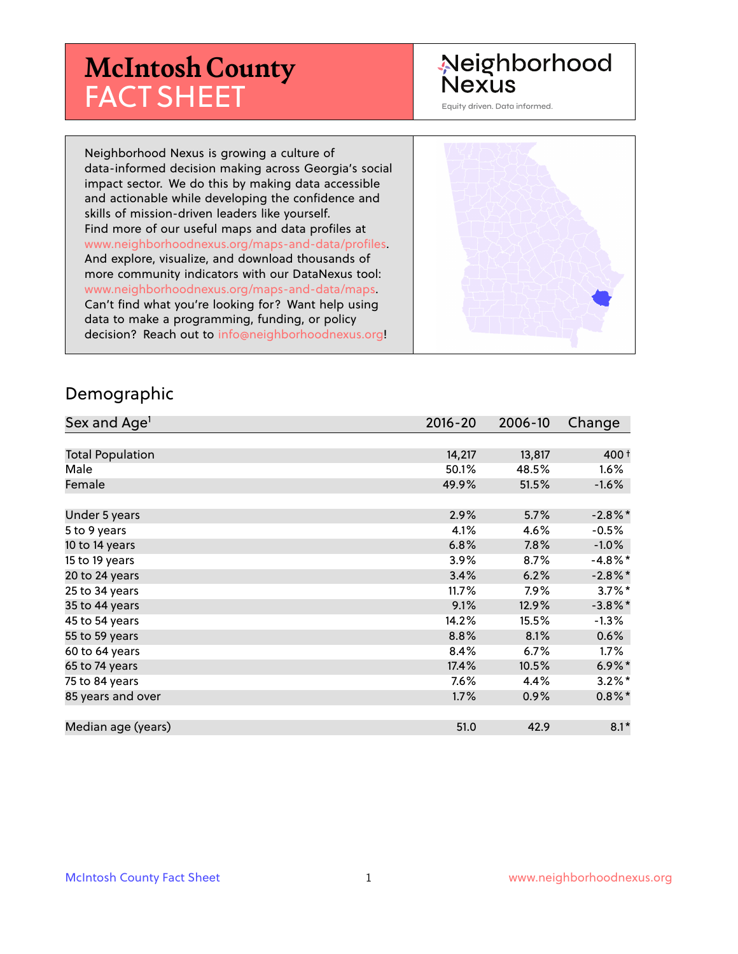# **McIntosh County** FACT SHEET

# Neighborhood **Nexus**

Equity driven. Data informed.

Neighborhood Nexus is growing a culture of data-informed decision making across Georgia's social impact sector. We do this by making data accessible and actionable while developing the confidence and skills of mission-driven leaders like yourself. Find more of our useful maps and data profiles at www.neighborhoodnexus.org/maps-and-data/profiles. And explore, visualize, and download thousands of more community indicators with our DataNexus tool: www.neighborhoodnexus.org/maps-and-data/maps. Can't find what you're looking for? Want help using data to make a programming, funding, or policy decision? Reach out to [info@neighborhoodnexus.org!](mailto:info@neighborhoodnexus.org)



#### Demographic

| Sex and Age <sup>1</sup> | $2016 - 20$ | 2006-10 | Change     |
|--------------------------|-------------|---------|------------|
|                          |             |         |            |
| <b>Total Population</b>  | 14,217      | 13,817  | 400 t      |
| Male                     | 50.1%       | 48.5%   | $1.6\%$    |
| Female                   | 49.9%       | 51.5%   | $-1.6\%$   |
|                          |             |         |            |
| Under 5 years            | 2.9%        | 5.7%    | $-2.8\%$ * |
| 5 to 9 years             | 4.1%        | 4.6%    | $-0.5%$    |
| 10 to 14 years           | 6.8%        | 7.8%    | $-1.0\%$   |
| 15 to 19 years           | 3.9%        | 8.7%    | $-4.8\%$ * |
| 20 to 24 years           | 3.4%        | 6.2%    | $-2.8\%$ * |
| 25 to 34 years           | 11.7%       | 7.9%    | $3.7\%$ *  |
| 35 to 44 years           | 9.1%        | 12.9%   | $-3.8\%$ * |
| 45 to 54 years           | 14.2%       | 15.5%   | $-1.3\%$   |
| 55 to 59 years           | 8.8%        | 8.1%    | 0.6%       |
| 60 to 64 years           | 8.4%        | 6.7%    | $1.7\%$    |
| 65 to 74 years           | 17.4%       | 10.5%   | $6.9\%$ *  |
| 75 to 84 years           | 7.6%        | 4.4%    | $3.2\%$ *  |
| 85 years and over        | 1.7%        | 0.9%    | $0.8\%$ *  |
|                          |             |         |            |
| Median age (years)       | 51.0        | 42.9    | $8.1*$     |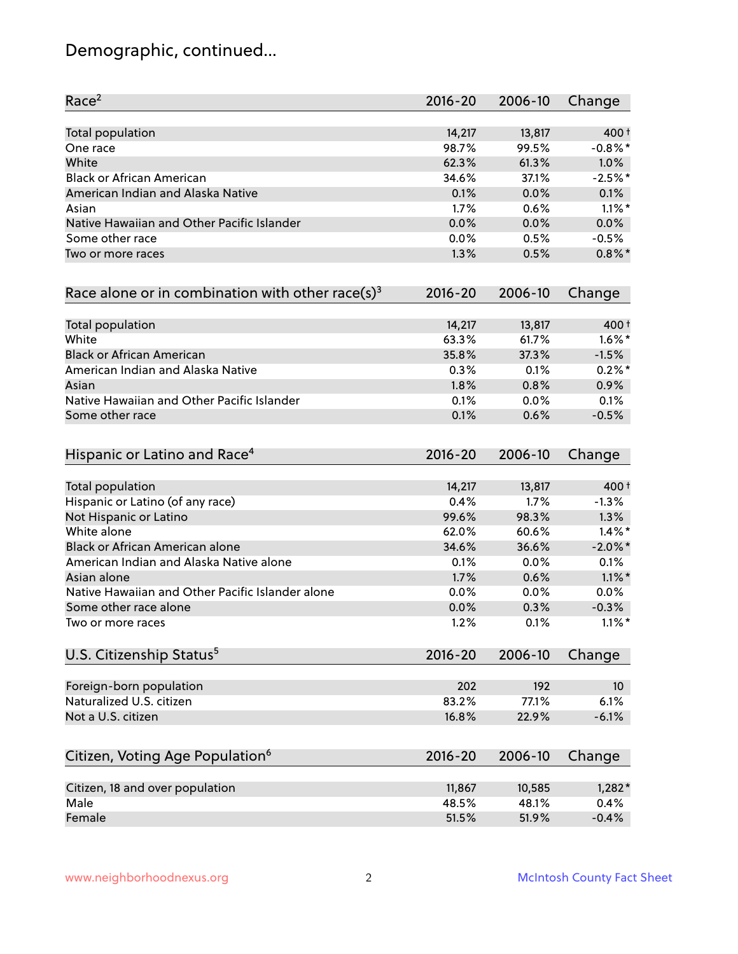# Demographic, continued...

| Race <sup>2</sup>                                            | $2016 - 20$ | 2006-10 | Change          |
|--------------------------------------------------------------|-------------|---------|-----------------|
| Total population                                             | 14,217      | 13,817  | 400 t           |
| One race                                                     | 98.7%       | 99.5%   | $-0.8\%$ *      |
| White                                                        | 62.3%       | 61.3%   | 1.0%            |
| <b>Black or African American</b>                             | 34.6%       | 37.1%   | $-2.5%$ *       |
| American Indian and Alaska Native                            | 0.1%        | 0.0%    | 0.1%            |
| Asian                                                        | 1.7%        | 0.6%    | $1.1\%$ *       |
| Native Hawaiian and Other Pacific Islander                   | 0.0%        | 0.0%    | 0.0%            |
| Some other race                                              | 0.0%        | 0.5%    | $-0.5%$         |
| Two or more races                                            | 1.3%        | 0.5%    | $0.8\%$ *       |
| Race alone or in combination with other race(s) <sup>3</sup> | $2016 - 20$ | 2006-10 | Change          |
| Total population                                             | 14,217      | 13,817  | 400 t           |
| White                                                        | 63.3%       | 61.7%   | $1.6\%$ *       |
| <b>Black or African American</b>                             | 35.8%       | 37.3%   | $-1.5%$         |
| American Indian and Alaska Native                            | 0.3%        | 0.1%    | $0.2%$ *        |
| Asian                                                        | 1.8%        | 0.8%    | 0.9%            |
| Native Hawaiian and Other Pacific Islander                   | 0.1%        | 0.0%    | 0.1%            |
| Some other race                                              | 0.1%        | 0.6%    | $-0.5%$         |
| Hispanic or Latino and Race <sup>4</sup>                     | $2016 - 20$ | 2006-10 | Change          |
| Total population                                             | 14,217      | 13,817  | 400 t           |
| Hispanic or Latino (of any race)                             | 0.4%        | 1.7%    | $-1.3%$         |
| Not Hispanic or Latino                                       | 99.6%       | 98.3%   | 1.3%            |
| White alone                                                  | 62.0%       | 60.6%   | $1.4\%$ *       |
| Black or African American alone                              | 34.6%       | 36.6%   | $-2.0\%$ *      |
| American Indian and Alaska Native alone                      | 0.1%        | $0.0\%$ | 0.1%            |
| Asian alone                                                  | 1.7%        | 0.6%    | $1.1\%$ *       |
| Native Hawaiian and Other Pacific Islander alone             | 0.0%        | 0.0%    | $0.0\%$         |
| Some other race alone                                        | 0.0%        | 0.3%    | $-0.3%$         |
| Two or more races                                            | 1.2%        | 0.1%    | $1.1\%$ *       |
| U.S. Citizenship Status <sup>5</sup>                         | $2016 - 20$ | 2006-10 | Change          |
| Foreign-born population                                      | 202         | 192     | 10 <sup>°</sup> |
| Naturalized U.S. citizen                                     | 83.2%       | 77.1%   | 6.1%            |
| Not a U.S. citizen                                           | 16.8%       | 22.9%   | $-6.1%$         |
| Citizen, Voting Age Population <sup>6</sup>                  | $2016 - 20$ | 2006-10 | Change          |
|                                                              |             |         |                 |
| Citizen, 18 and over population                              | 11,867      | 10,585  | $1,282*$        |
| Male                                                         | 48.5%       | 48.1%   | 0.4%            |
| Female                                                       | 51.5%       | 51.9%   | $-0.4%$         |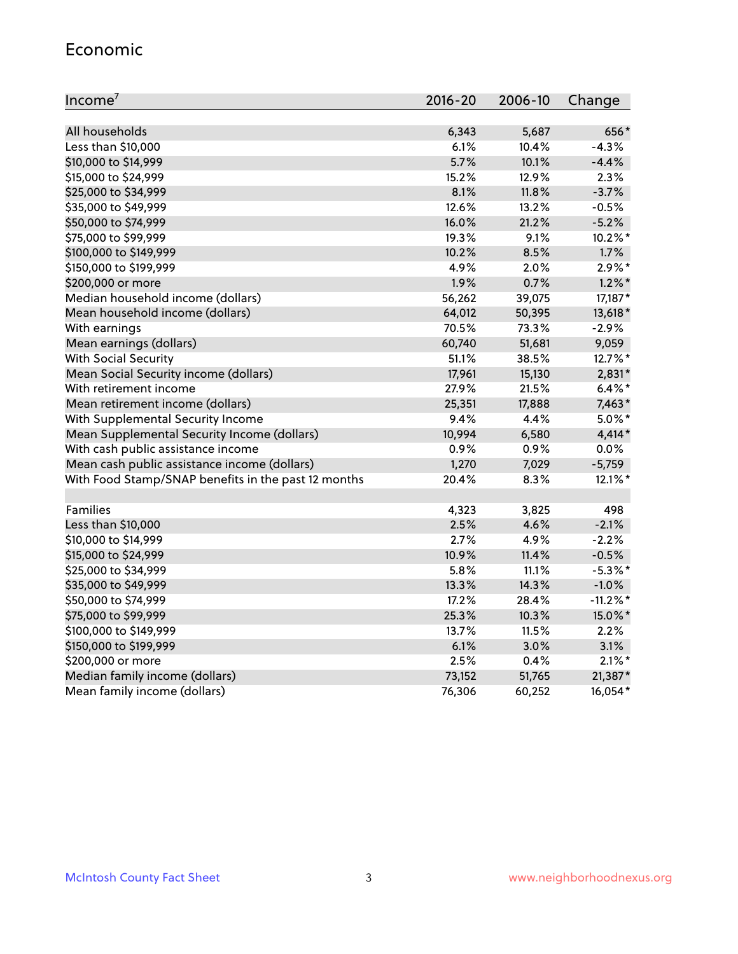#### Economic

| Income <sup>7</sup>                                 | $2016 - 20$ | 2006-10 | Change      |
|-----------------------------------------------------|-------------|---------|-------------|
|                                                     |             |         |             |
| All households                                      | 6,343       | 5,687   | 656*        |
| Less than \$10,000                                  | 6.1%        | 10.4%   | $-4.3%$     |
| \$10,000 to \$14,999                                | 5.7%        | 10.1%   | $-4.4%$     |
| \$15,000 to \$24,999                                | 15.2%       | 12.9%   | 2.3%        |
| \$25,000 to \$34,999                                | 8.1%        | 11.8%   | $-3.7%$     |
| \$35,000 to \$49,999                                | 12.6%       | 13.2%   | $-0.5%$     |
| \$50,000 to \$74,999                                | 16.0%       | 21.2%   | $-5.2%$     |
| \$75,000 to \$99,999                                | 19.3%       | 9.1%    | 10.2%*      |
| \$100,000 to \$149,999                              | 10.2%       | 8.5%    | 1.7%        |
| \$150,000 to \$199,999                              | 4.9%        | 2.0%    | $2.9\%*$    |
| \$200,000 or more                                   | 1.9%        | 0.7%    | $1.2\%$ *   |
| Median household income (dollars)                   | 56,262      | 39,075  | 17,187*     |
| Mean household income (dollars)                     | 64,012      | 50,395  | 13,618*     |
| With earnings                                       | 70.5%       | 73.3%   | $-2.9%$     |
| Mean earnings (dollars)                             | 60,740      | 51,681  | 9,059       |
| <b>With Social Security</b>                         | 51.1%       | 38.5%   | 12.7%*      |
| Mean Social Security income (dollars)               | 17,961      | 15,130  | $2,831*$    |
| With retirement income                              | 27.9%       | 21.5%   | $6.4\%$ *   |
| Mean retirement income (dollars)                    | 25,351      | 17,888  | $7,463*$    |
| With Supplemental Security Income                   | 9.4%        | 4.4%    | $5.0\%$ *   |
| Mean Supplemental Security Income (dollars)         | 10,994      | 6,580   | $4,414*$    |
| With cash public assistance income                  | 0.9%        | 0.9%    | 0.0%        |
| Mean cash public assistance income (dollars)        | 1,270       | 7,029   | $-5,759$    |
| With Food Stamp/SNAP benefits in the past 12 months | 20.4%       | 8.3%    | 12.1%*      |
|                                                     |             |         |             |
| Families                                            | 4,323       | 3,825   | 498         |
| Less than \$10,000                                  | 2.5%        | 4.6%    | $-2.1%$     |
| \$10,000 to \$14,999                                | 2.7%        | 4.9%    | $-2.2%$     |
| \$15,000 to \$24,999                                | 10.9%       | 11.4%   | $-0.5%$     |
| \$25,000 to \$34,999                                | 5.8%        | 11.1%   | $-5.3\%$ *  |
| \$35,000 to \$49,999                                | 13.3%       | 14.3%   | $-1.0\%$    |
| \$50,000 to \$74,999                                | 17.2%       | 28.4%   | $-11.2\%$ * |
| \$75,000 to \$99,999                                | 25.3%       | 10.3%   | 15.0%*      |
| \$100,000 to \$149,999                              | 13.7%       | 11.5%   | 2.2%        |
| \$150,000 to \$199,999                              | 6.1%        | 3.0%    | 3.1%        |
| \$200,000 or more                                   | 2.5%        | 0.4%    | $2.1\%$ *   |
| Median family income (dollars)                      | 73,152      | 51,765  | 21,387*     |
| Mean family income (dollars)                        | 76,306      | 60,252  | 16,054*     |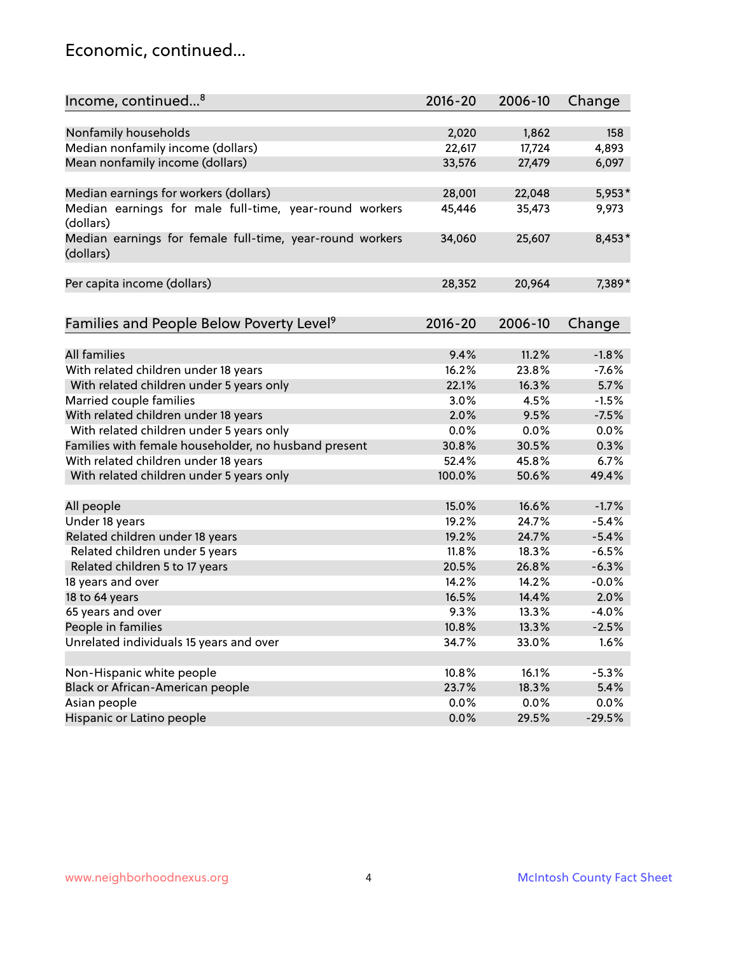### Economic, continued...

| Income, continued <sup>8</sup>                           | $2016 - 20$ | 2006-10 | Change   |
|----------------------------------------------------------|-------------|---------|----------|
|                                                          |             |         |          |
| Nonfamily households                                     | 2,020       | 1,862   | 158      |
| Median nonfamily income (dollars)                        | 22,617      | 17,724  | 4,893    |
| Mean nonfamily income (dollars)                          | 33,576      | 27,479  | 6,097    |
|                                                          |             |         |          |
| Median earnings for workers (dollars)                    | 28,001      | 22,048  | $5,953*$ |
| Median earnings for male full-time, year-round workers   | 45,446      | 35,473  | 9,973    |
| (dollars)                                                |             |         |          |
| Median earnings for female full-time, year-round workers | 34,060      | 25,607  | 8,453*   |
| (dollars)                                                |             |         |          |
|                                                          |             |         |          |
| Per capita income (dollars)                              | 28,352      | 20,964  | 7,389*   |
|                                                          |             |         |          |
| Families and People Below Poverty Level <sup>9</sup>     | $2016 - 20$ | 2006-10 | Change   |
|                                                          |             |         |          |
| All families                                             | 9.4%        | 11.2%   | $-1.8%$  |
| With related children under 18 years                     | 16.2%       | 23.8%   | $-7.6%$  |
| With related children under 5 years only                 | 22.1%       | 16.3%   | 5.7%     |
| Married couple families                                  | 3.0%        | 4.5%    | $-1.5%$  |
| With related children under 18 years                     | 2.0%        | 9.5%    | $-7.5%$  |
| With related children under 5 years only                 | $0.0\%$     | 0.0%    | 0.0%     |
| Families with female householder, no husband present     | 30.8%       | 30.5%   | 0.3%     |
| With related children under 18 years                     | 52.4%       | 45.8%   | 6.7%     |
| With related children under 5 years only                 | 100.0%      | 50.6%   | 49.4%    |
|                                                          |             |         |          |
| All people                                               | 15.0%       | 16.6%   | $-1.7%$  |
| Under 18 years                                           | 19.2%       | 24.7%   | $-5.4%$  |
| Related children under 18 years                          | 19.2%       | 24.7%   | $-5.4%$  |
| Related children under 5 years                           | 11.8%       | 18.3%   | $-6.5%$  |
| Related children 5 to 17 years                           | 20.5%       | 26.8%   | $-6.3%$  |
| 18 years and over                                        | 14.2%       | 14.2%   | $-0.0%$  |
| 18 to 64 years                                           | 16.5%       | 14.4%   | 2.0%     |
| 65 years and over                                        | 9.3%        | 13.3%   | $-4.0%$  |
| People in families                                       | 10.8%       | 13.3%   | $-2.5%$  |
| Unrelated individuals 15 years and over                  | 34.7%       | 33.0%   | 1.6%     |
|                                                          |             |         |          |
| Non-Hispanic white people                                | 10.8%       | 16.1%   | $-5.3%$  |
| Black or African-American people                         | 23.7%       | 18.3%   | 5.4%     |
| Asian people                                             | 0.0%        | 0.0%    | 0.0%     |
| Hispanic or Latino people                                | 0.0%        | 29.5%   | $-29.5%$ |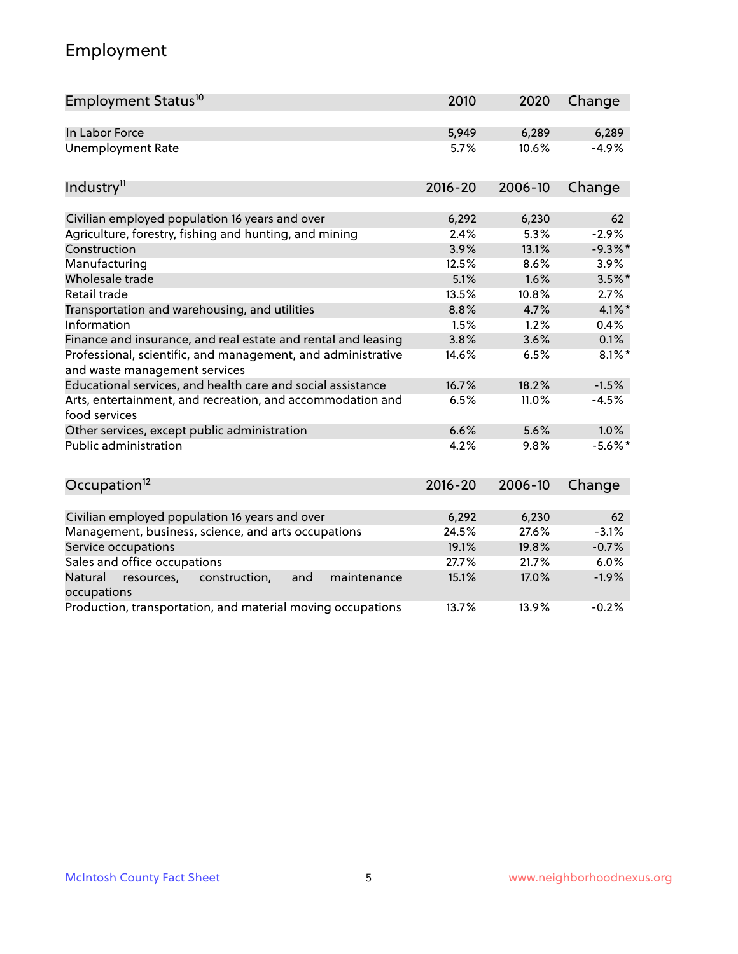# Employment

| Employment Status <sup>10</sup>                                                               | 2010           | 2020           | Change          |
|-----------------------------------------------------------------------------------------------|----------------|----------------|-----------------|
| In Labor Force                                                                                | 5,949          | 6,289          | 6,289           |
| <b>Unemployment Rate</b>                                                                      | 5.7%           | 10.6%          | $-4.9%$         |
| Industry <sup>11</sup>                                                                        | $2016 - 20$    | 2006-10        | Change          |
| Civilian employed population 16 years and over                                                | 6,292          | 6,230          | 62              |
| Agriculture, forestry, fishing and hunting, and mining                                        | 2.4%           | 5.3%           | $-2.9%$         |
| Construction                                                                                  | 3.9%           | 13.1%          | $-9.3%$         |
| Manufacturing                                                                                 | 12.5%          | 8.6%           | 3.9%            |
| Wholesale trade                                                                               | 5.1%           | 1.6%           | $3.5\%$ *       |
| Retail trade                                                                                  | 13.5%          | 10.8%          | 2.7%            |
| Transportation and warehousing, and utilities                                                 | 8.8%           | 4.7%           | $4.1\%$ *       |
| Information                                                                                   | 1.5%           | 1.2%           | 0.4%            |
| Finance and insurance, and real estate and rental and leasing                                 | 3.8%           | 3.6%           | 0.1%            |
| Professional, scientific, and management, and administrative<br>and waste management services | 14.6%          | 6.5%           | $8.1\%$ *       |
| Educational services, and health care and social assistance                                   | 16.7%          | 18.2%          | $-1.5%$         |
| Arts, entertainment, and recreation, and accommodation and<br>food services                   | 6.5%           | 11.0%          | $-4.5%$         |
| Other services, except public administration                                                  | 6.6%           | 5.6%           | 1.0%            |
| <b>Public administration</b>                                                                  | 4.2%           | 9.8%           | $-5.6\%$ *      |
| Occupation <sup>12</sup>                                                                      | $2016 - 20$    | 2006-10        | Change          |
|                                                                                               |                |                |                 |
| Civilian employed population 16 years and over                                                | 6,292          | 6,230          | 62              |
| Management, business, science, and arts occupations                                           | 24.5%          | 27.6%          | $-3.1%$         |
| Service occupations                                                                           | 19.1%          | 19.8%          | $-0.7%$         |
| Sales and office occupations<br>Natural<br>and<br>maintenance                                 | 27.7%<br>15.1% | 21.7%<br>17.0% | 6.0%<br>$-1.9%$ |
| resources,<br>construction,<br>occupations                                                    |                |                |                 |
| Production, transportation, and material moving occupations                                   | 13.7%          | 13.9%          | $-0.2%$         |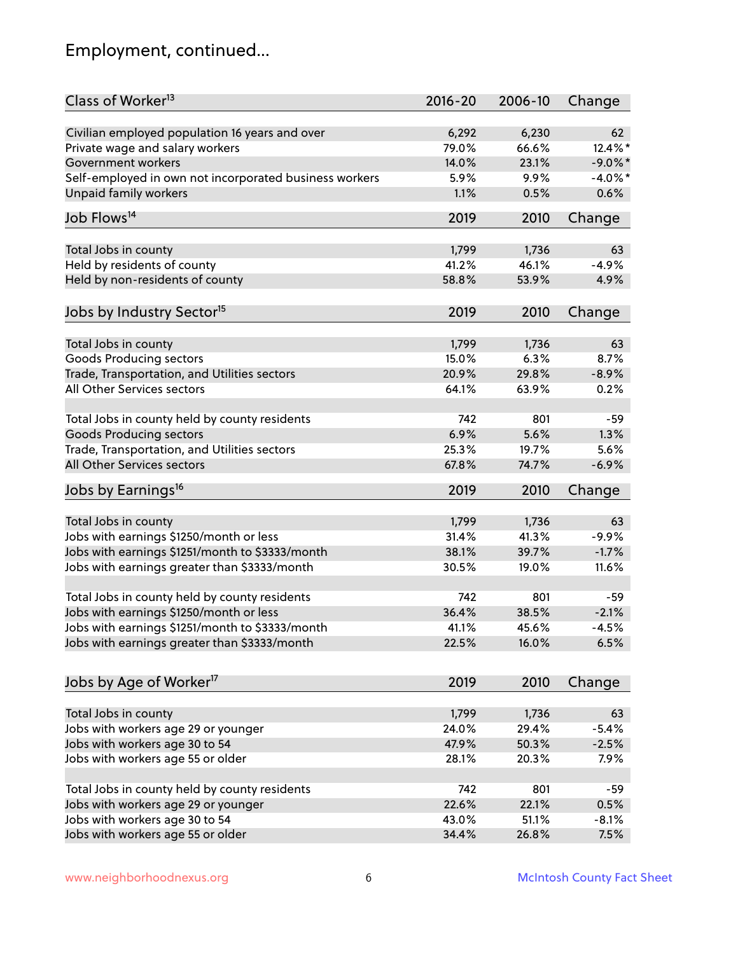# Employment, continued...

| Class of Worker <sup>13</sup>                          | $2016 - 20$ | 2006-10 | Change     |
|--------------------------------------------------------|-------------|---------|------------|
| Civilian employed population 16 years and over         | 6,292       | 6,230   | 62         |
| Private wage and salary workers                        | 79.0%       | 66.6%   | 12.4%*     |
| Government workers                                     | 14.0%       | 23.1%   | $-9.0\%$ * |
| Self-employed in own not incorporated business workers | 5.9%        | 9.9%    | $-4.0\%$ * |
| <b>Unpaid family workers</b>                           | 1.1%        | 0.5%    | 0.6%       |
|                                                        |             |         |            |
| Job Flows <sup>14</sup>                                | 2019        | 2010    | Change     |
| Total Jobs in county                                   | 1,799       | 1,736   | 63         |
| Held by residents of county                            | 41.2%       | 46.1%   | $-4.9%$    |
| Held by non-residents of county                        | 58.8%       | 53.9%   | 4.9%       |
|                                                        |             |         |            |
| Jobs by Industry Sector <sup>15</sup>                  | 2019        | 2010    | Change     |
| Total Jobs in county                                   | 1,799       | 1,736   | 63         |
| Goods Producing sectors                                | 15.0%       | 6.3%    | 8.7%       |
| Trade, Transportation, and Utilities sectors           | 20.9%       | 29.8%   | $-8.9%$    |
| All Other Services sectors                             | 64.1%       | 63.9%   | 0.2%       |
|                                                        |             |         |            |
| Total Jobs in county held by county residents          | 742         | 801     | $-59$      |
| <b>Goods Producing sectors</b>                         | 6.9%        | 5.6%    | 1.3%       |
| Trade, Transportation, and Utilities sectors           | 25.3%       | 19.7%   | 5.6%       |
| All Other Services sectors                             | 67.8%       | 74.7%   | $-6.9%$    |
| Jobs by Earnings <sup>16</sup>                         | 2019        | 2010    | Change     |
|                                                        |             |         |            |
| Total Jobs in county                                   | 1,799       | 1,736   | 63         |
| Jobs with earnings \$1250/month or less                | 31.4%       | 41.3%   | $-9.9%$    |
| Jobs with earnings \$1251/month to \$3333/month        | 38.1%       | 39.7%   | $-1.7%$    |
| Jobs with earnings greater than \$3333/month           | 30.5%       | 19.0%   | 11.6%      |
| Total Jobs in county held by county residents          | 742         | 801     | -59        |
| Jobs with earnings \$1250/month or less                | 36.4%       | 38.5%   | $-2.1%$    |
| Jobs with earnings \$1251/month to \$3333/month        | 41.1%       | 45.6%   | $-4.5%$    |
| Jobs with earnings greater than \$3333/month           | 22.5%       | 16.0%   | 6.5%       |
|                                                        |             |         |            |
| Jobs by Age of Worker <sup>17</sup>                    | 2019        | 2010    | Change     |
|                                                        |             |         |            |
| Total Jobs in county                                   | 1,799       | 1,736   | 63         |
| Jobs with workers age 29 or younger                    | 24.0%       | 29.4%   | $-5.4%$    |
| Jobs with workers age 30 to 54                         | 47.9%       | 50.3%   | $-2.5%$    |
| Jobs with workers age 55 or older                      | 28.1%       | 20.3%   | 7.9%       |
| Total Jobs in county held by county residents          | 742         | 801     | $-59$      |
| Jobs with workers age 29 or younger                    | 22.6%       | 22.1%   | 0.5%       |
| Jobs with workers age 30 to 54                         | 43.0%       | 51.1%   | $-8.1%$    |
| Jobs with workers age 55 or older                      | 34.4%       | 26.8%   | 7.5%       |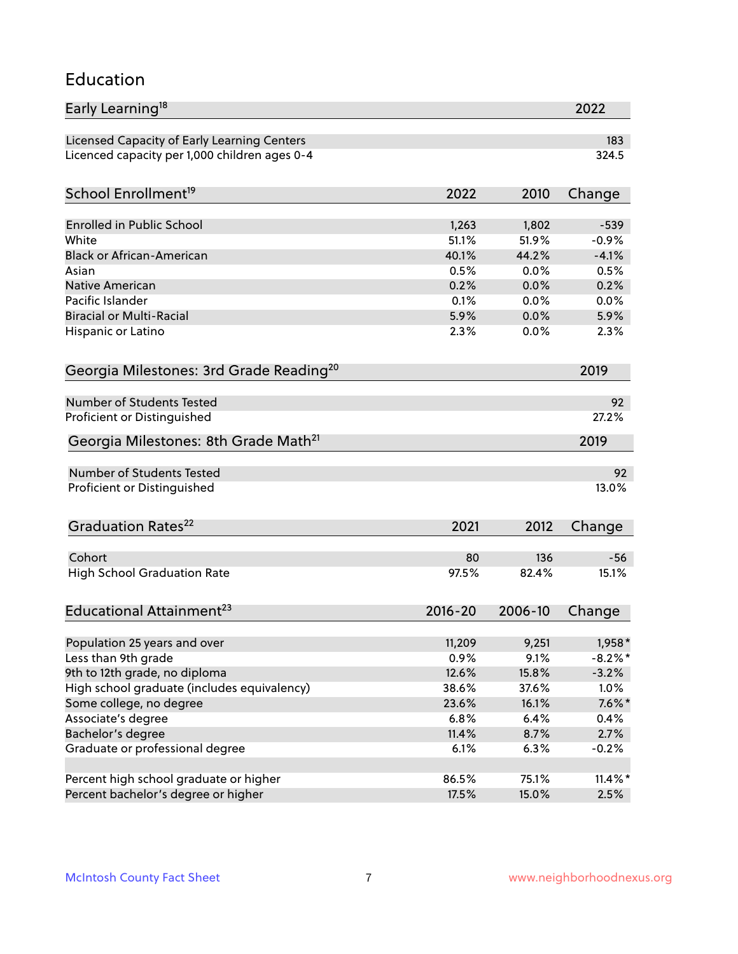#### Education

| Early Learning <sup>18</sup>                        |         |         | 2022       |
|-----------------------------------------------------|---------|---------|------------|
| Licensed Capacity of Early Learning Centers         |         |         | 183        |
| Licenced capacity per 1,000 children ages 0-4       |         |         | 324.5      |
|                                                     |         |         |            |
| School Enrollment <sup>19</sup>                     | 2022    | 2010    | Change     |
| <b>Enrolled in Public School</b>                    | 1,263   | 1,802   | $-539$     |
| White                                               | 51.1%   | 51.9%   | $-0.9%$    |
| <b>Black or African-American</b>                    | 40.1%   | 44.2%   | $-4.1%$    |
| Asian                                               | 0.5%    | 0.0%    | 0.5%       |
| <b>Native American</b>                              | 0.2%    | 0.0%    | 0.2%       |
| Pacific Islander                                    | 0.1%    | 0.0%    | 0.0%       |
| <b>Biracial or Multi-Racial</b>                     | 5.9%    | 0.0%    | 5.9%       |
| Hispanic or Latino                                  | 2.3%    | 0.0%    | 2.3%       |
| Georgia Milestones: 3rd Grade Reading <sup>20</sup> |         |         | 2019       |
|                                                     |         |         |            |
| Number of Students Tested                           |         |         | 92         |
| Proficient or Distinguished                         |         |         | 27.2%      |
| Georgia Milestones: 8th Grade Math <sup>21</sup>    |         |         | 2019       |
| Number of Students Tested                           |         |         | 92         |
| Proficient or Distinguished                         |         |         | 13.0%      |
|                                                     |         |         |            |
| Graduation Rates <sup>22</sup>                      | 2021    | 2012    | Change     |
|                                                     |         |         |            |
| Cohort                                              | 80      | 136     | $-56$      |
| <b>High School Graduation Rate</b>                  | 97.5%   | 82.4%   | 15.1%      |
| Educational Attainment <sup>23</sup>                | 2016-20 | 2006-10 | Change     |
|                                                     |         |         |            |
| Population 25 years and over                        | 11,209  | 9,251   | $1,958*$   |
| Less than 9th grade                                 | 0.9%    | 9.1%    | $-8.2\%$ * |
| 9th to 12th grade, no diploma                       | 12.6%   | 15.8%   | $-3.2%$    |
| High school graduate (includes equivalency)         | 38.6%   | 37.6%   | 1.0%       |
| Some college, no degree                             | 23.6%   | 16.1%   | $7.6\%$ *  |
| Associate's degree                                  | 6.8%    | 6.4%    | 0.4%       |
| Bachelor's degree                                   | 11.4%   | 8.7%    | 2.7%       |
| Graduate or professional degree                     | 6.1%    | 6.3%    | $-0.2%$    |
| Percent high school graduate or higher              | 86.5%   | 75.1%   | $11.4\%$ * |
| Percent bachelor's degree or higher                 | 17.5%   | 15.0%   | 2.5%       |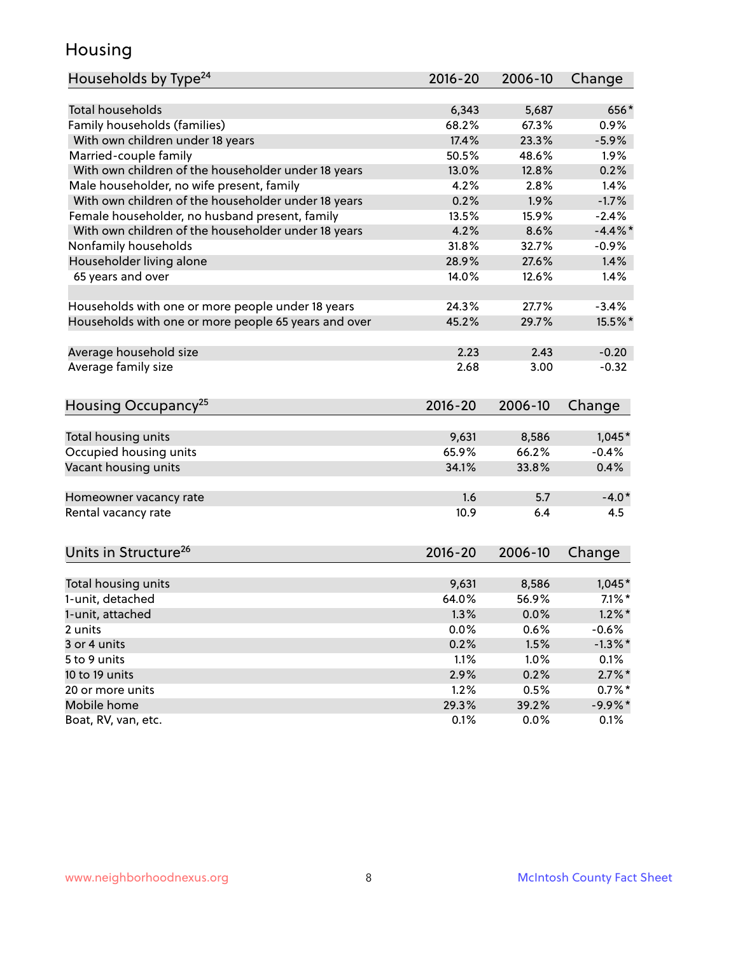### Housing

| Households by Type <sup>24</sup>                     | 2016-20     | 2006-10 | Change     |
|------------------------------------------------------|-------------|---------|------------|
|                                                      |             |         |            |
| <b>Total households</b>                              | 6,343       | 5,687   | 656*       |
| Family households (families)                         | 68.2%       | 67.3%   | 0.9%       |
| With own children under 18 years                     | 17.4%       | 23.3%   | $-5.9%$    |
| Married-couple family                                | 50.5%       | 48.6%   | 1.9%       |
| With own children of the householder under 18 years  | 13.0%       | 12.8%   | 0.2%       |
| Male householder, no wife present, family            | 4.2%        | 2.8%    | 1.4%       |
| With own children of the householder under 18 years  | 0.2%        | 1.9%    | $-1.7%$    |
| Female householder, no husband present, family       | 13.5%       | 15.9%   | $-2.4%$    |
| With own children of the householder under 18 years  | 4.2%        | 8.6%    | $-4.4\%$ * |
| Nonfamily households                                 | 31.8%       | 32.7%   | $-0.9%$    |
| Householder living alone                             | 28.9%       | 27.6%   | 1.4%       |
| 65 years and over                                    | 14.0%       | 12.6%   | 1.4%       |
| Households with one or more people under 18 years    | 24.3%       | 27.7%   | $-3.4%$    |
|                                                      | 45.2%       | 29.7%   | 15.5%*     |
| Households with one or more people 65 years and over |             |         |            |
| Average household size                               | 2.23        | 2.43    | $-0.20$    |
| Average family size                                  | 2.68        | 3.00    | $-0.32$    |
| Housing Occupancy <sup>25</sup>                      | $2016 - 20$ | 2006-10 | Change     |
|                                                      |             |         |            |
| Total housing units                                  | 9,631       | 8,586   | $1,045*$   |
| Occupied housing units                               | 65.9%       | 66.2%   | $-0.4%$    |
| Vacant housing units                                 | 34.1%       | 33.8%   | 0.4%       |
|                                                      |             |         |            |
| Homeowner vacancy rate                               | 1.6         | 5.7     | $-4.0*$    |
| Rental vacancy rate                                  | 10.9        | 6.4     | 4.5        |
| Units in Structure <sup>26</sup>                     | $2016 - 20$ | 2006-10 | Change     |
|                                                      |             |         |            |
| Total housing units                                  | 9,631       | 8,586   | $1,045*$   |
| 1-unit, detached                                     | 64.0%       | 56.9%   | $7.1\%$ *  |
| 1-unit, attached                                     | 1.3%        | 0.0%    | $1.2\%$ *  |
| 2 units                                              | 0.0%        | 0.6%    | $-0.6%$    |
| 3 or 4 units                                         | 0.2%        | 1.5%    | $-1.3\%$ * |
| 5 to 9 units                                         | 1.1%        | 1.0%    | 0.1%       |
| 10 to 19 units                                       | 2.9%        | 0.2%    | $2.7\%$ *  |
| 20 or more units                                     | 1.2%        | 0.5%    | $0.7\%$ *  |
| Mobile home                                          | 29.3%       | 39.2%   | $-9.9%$ *  |
| Boat, RV, van, etc.                                  | 0.1%        | 0.0%    | 0.1%       |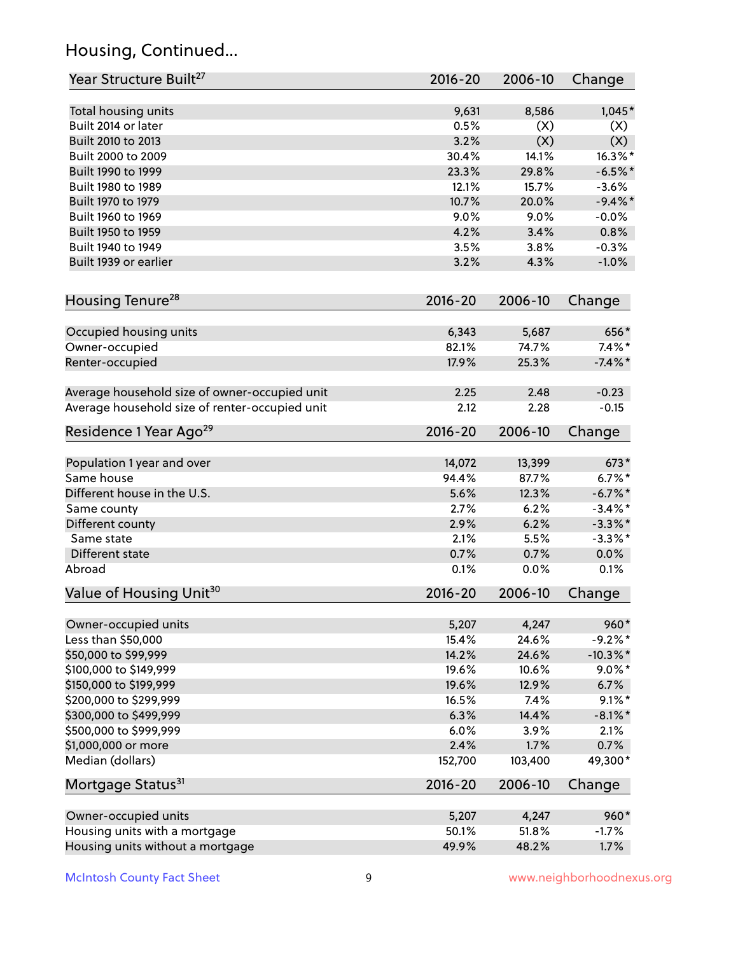# Housing, Continued...

| Total housing units<br>9,631<br>Built 2014 or later<br>0.5%<br>Built 2010 to 2013<br>3.2%<br>30.4%<br>Built 2000 to 2009<br>23.3%<br>Built 1990 to 1999 | 8,586<br>(X)<br>(X)<br>14.1%<br>29.8%<br>15.7%<br>20.0%<br>9.0%<br>3.4%<br>3.8% | $1,045*$<br>(X)<br>(X)<br>$16.3\%$ *<br>$-6.5%$ *<br>$-3.6%$<br>$-9.4\%$ *<br>$-0.0%$ |
|---------------------------------------------------------------------------------------------------------------------------------------------------------|---------------------------------------------------------------------------------|---------------------------------------------------------------------------------------|
|                                                                                                                                                         |                                                                                 |                                                                                       |
|                                                                                                                                                         |                                                                                 |                                                                                       |
|                                                                                                                                                         |                                                                                 |                                                                                       |
|                                                                                                                                                         |                                                                                 |                                                                                       |
|                                                                                                                                                         |                                                                                 |                                                                                       |
| Built 1980 to 1989<br>12.1%                                                                                                                             |                                                                                 |                                                                                       |
| Built 1970 to 1979<br>10.7%                                                                                                                             |                                                                                 |                                                                                       |
| 9.0%<br>Built 1960 to 1969                                                                                                                              |                                                                                 |                                                                                       |
| Built 1950 to 1959<br>4.2%                                                                                                                              |                                                                                 | 0.8%                                                                                  |
| Built 1940 to 1949<br>3.5%                                                                                                                              |                                                                                 | $-0.3%$                                                                               |
| Built 1939 or earlier<br>3.2%                                                                                                                           | 4.3%                                                                            | $-1.0%$                                                                               |
| Housing Tenure <sup>28</sup><br>2016-20                                                                                                                 | 2006-10                                                                         | Change                                                                                |
| Occupied housing units<br>6,343                                                                                                                         | 5,687                                                                           | 656*                                                                                  |
| 82.1%<br>Owner-occupied                                                                                                                                 | 74.7%                                                                           | $7.4\%$ *                                                                             |
| 17.9%<br>Renter-occupied                                                                                                                                | 25.3%                                                                           | $-7.4\%$ *                                                                            |
| Average household size of owner-occupied unit<br>2.25                                                                                                   | 2.48                                                                            | $-0.23$                                                                               |
| Average household size of renter-occupied unit<br>2.12                                                                                                  | 2.28                                                                            | $-0.15$                                                                               |
| Residence 1 Year Ago <sup>29</sup><br>2016-20                                                                                                           | 2006-10                                                                         | Change                                                                                |
| Population 1 year and over<br>14,072                                                                                                                    | 13,399                                                                          | $673*$                                                                                |
| Same house<br>94.4%                                                                                                                                     | 87.7%                                                                           | $6.7%$ *                                                                              |
| Different house in the U.S.<br>5.6%                                                                                                                     | 12.3%                                                                           | $-6.7%$ *                                                                             |
| Same county<br>2.7%                                                                                                                                     | 6.2%                                                                            | $-3.4\%$ *                                                                            |
| Different county<br>2.9%                                                                                                                                | 6.2%                                                                            | $-3.3\%$ *                                                                            |
| Same state<br>2.1%                                                                                                                                      | 5.5%                                                                            | $-3.3\%$ *                                                                            |
| Different state<br>0.7%                                                                                                                                 | 0.7%                                                                            | $0.0\%$                                                                               |
| Abroad<br>0.1%                                                                                                                                          | 0.0%                                                                            | 0.1%                                                                                  |
| Value of Housing Unit <sup>30</sup><br>2016-20                                                                                                          | 2006-10                                                                         | Change                                                                                |
| Owner-occupied units<br>5,207                                                                                                                           | 4,247                                                                           | 960*                                                                                  |
| Less than \$50,000<br>15.4%                                                                                                                             | 24.6%                                                                           | $-9.2%$ *                                                                             |
| \$50,000 to \$99,999<br>14.2%                                                                                                                           | 24.6%                                                                           | $-10.3\%$ *                                                                           |
| \$100,000 to \$149,999<br>19.6%                                                                                                                         | 10.6%                                                                           | $9.0\%$ *                                                                             |
| \$150,000 to \$199,999<br>19.6%                                                                                                                         | 12.9%                                                                           | 6.7%                                                                                  |
| \$200,000 to \$299,999<br>16.5%                                                                                                                         | 7.4%                                                                            | $9.1\%$ *                                                                             |
| \$300,000 to \$499,999<br>6.3%                                                                                                                          | 14.4%                                                                           | $-8.1\%$ *                                                                            |
| 6.0%<br>\$500,000 to \$999,999                                                                                                                          | 3.9%                                                                            | 2.1%                                                                                  |
| 2.4%<br>\$1,000,000 or more                                                                                                                             | 1.7%                                                                            | 0.7%                                                                                  |
| Median (dollars)<br>152,700                                                                                                                             | 103,400                                                                         | 49,300*                                                                               |
| Mortgage Status <sup>31</sup><br>2016-20                                                                                                                | 2006-10                                                                         | Change                                                                                |
| Owner-occupied units<br>5,207                                                                                                                           | 4,247                                                                           | 960*                                                                                  |
| Housing units with a mortgage<br>50.1%                                                                                                                  | 51.8%                                                                           | $-1.7%$                                                                               |
| Housing units without a mortgage<br>49.9%                                                                                                               | 48.2%                                                                           | 1.7%                                                                                  |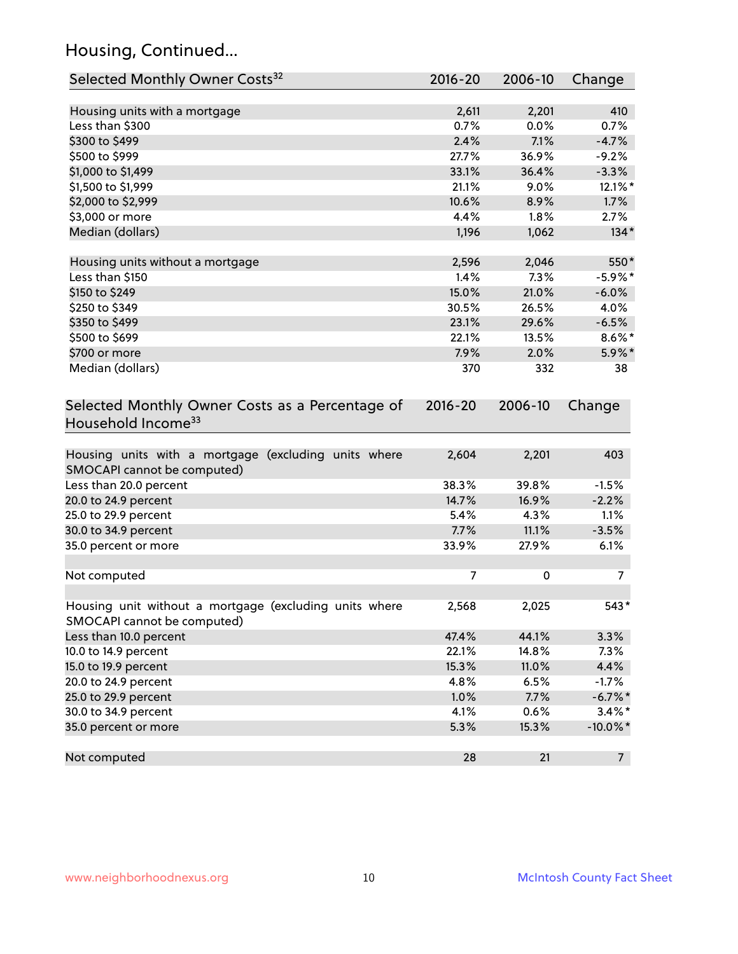# Housing, Continued...

| Selected Monthly Owner Costs <sup>32</sup>                                            | 2016-20 | 2006-10 | Change         |
|---------------------------------------------------------------------------------------|---------|---------|----------------|
| Housing units with a mortgage                                                         | 2,611   | 2,201   | 410            |
| Less than \$300                                                                       | 0.7%    | 0.0%    | 0.7%           |
| \$300 to \$499                                                                        | 2.4%    | 7.1%    | $-4.7%$        |
| \$500 to \$999                                                                        | 27.7%   | 36.9%   | $-9.2%$        |
| \$1,000 to \$1,499                                                                    | 33.1%   | 36.4%   | $-3.3%$        |
| \$1,500 to \$1,999                                                                    | 21.1%   | 9.0%    | 12.1%*         |
| \$2,000 to \$2,999                                                                    | 10.6%   | 8.9%    | 1.7%           |
| \$3,000 or more                                                                       | 4.4%    | 1.8%    | 2.7%           |
| Median (dollars)                                                                      | 1,196   | 1,062   | $134*$         |
| Housing units without a mortgage                                                      | 2,596   | 2,046   | 550*           |
| Less than \$150                                                                       | 1.4%    | 7.3%    | $-5.9\%$ *     |
| \$150 to \$249                                                                        | 15.0%   | 21.0%   | $-6.0%$        |
| \$250 to \$349                                                                        | 30.5%   | 26.5%   | 4.0%           |
| \$350 to \$499                                                                        | 23.1%   | 29.6%   | $-6.5%$        |
| \$500 to \$699                                                                        | 22.1%   | 13.5%   | $8.6\%$ *      |
| \$700 or more                                                                         | 7.9%    | 2.0%    | $5.9\%$ *      |
| Median (dollars)                                                                      | 370     | 332     | 38             |
| Household Income <sup>33</sup>                                                        |         |         |                |
| Housing units with a mortgage (excluding units where<br>SMOCAPI cannot be computed)   | 2,604   | 2,201   | 403            |
| Less than 20.0 percent                                                                | 38.3%   | 39.8%   | $-1.5%$        |
| 20.0 to 24.9 percent                                                                  | 14.7%   | 16.9%   | $-2.2%$        |
| 25.0 to 29.9 percent                                                                  | 5.4%    | 4.3%    | 1.1%           |
| 30.0 to 34.9 percent                                                                  | 7.7%    | 11.1%   | $-3.5%$        |
| 35.0 percent or more                                                                  | 33.9%   | 27.9%   | 6.1%           |
| Not computed                                                                          | 7       | 0       | 7              |
| Housing unit without a mortgage (excluding units where<br>SMOCAPI cannot be computed) | 2,568   | 2,025   | $543*$         |
| Less than 10.0 percent                                                                | 47.4%   | 44.1%   | 3.3%           |
| 10.0 to 14.9 percent                                                                  | 22.1%   | 14.8%   | 7.3%           |
| 15.0 to 19.9 percent                                                                  | 15.3%   | 11.0%   | 4.4%           |
| 20.0 to 24.9 percent                                                                  | 4.8%    | 6.5%    | $-1.7%$        |
| 25.0 to 29.9 percent                                                                  | 1.0%    | 7.7%    | $-6.7\%$ *     |
| 30.0 to 34.9 percent                                                                  | 4.1%    | 0.6%    | $3.4\%$ *      |
| 35.0 percent or more                                                                  | 5.3%    | 15.3%   | $-10.0\%$ *    |
| Not computed                                                                          | 28      | 21      | 7 <sup>7</sup> |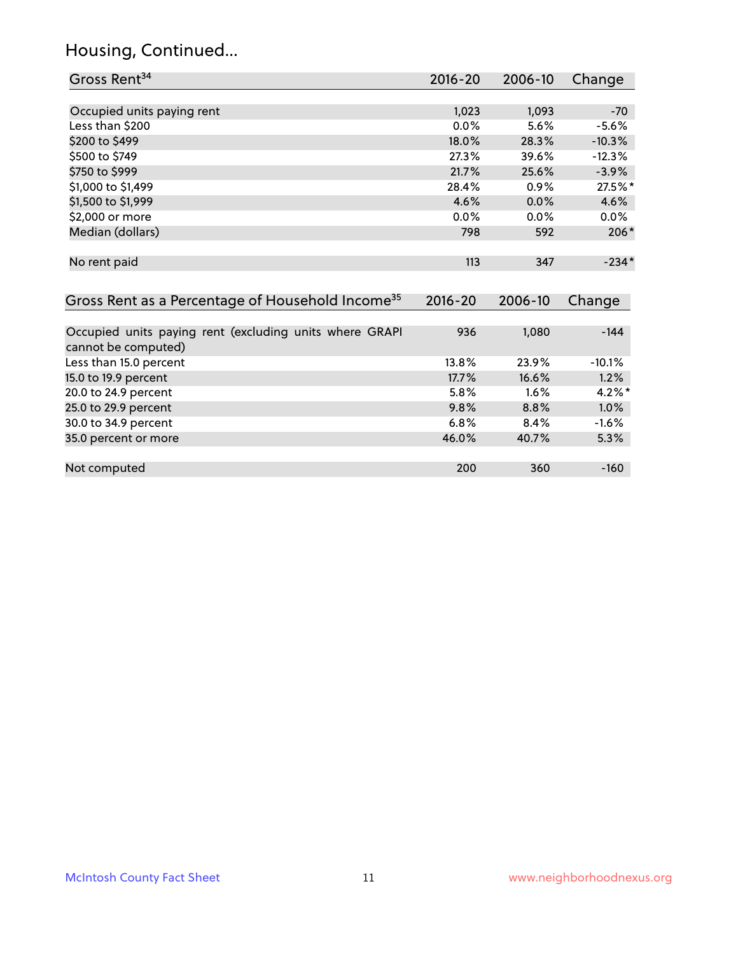# Housing, Continued...

| Gross Rent <sup>34</sup>                                                       | 2016-20     | 2006-10 | Change    |
|--------------------------------------------------------------------------------|-------------|---------|-----------|
|                                                                                |             |         |           |
| Occupied units paying rent                                                     | 1,023       | 1,093   | $-70$     |
| Less than \$200                                                                | 0.0%        | 5.6%    | $-5.6%$   |
| \$200 to \$499                                                                 | 18.0%       | 28.3%   | $-10.3%$  |
| \$500 to \$749                                                                 | 27.3%       | 39.6%   | $-12.3%$  |
| \$750 to \$999                                                                 | 21.7%       | 25.6%   | $-3.9%$   |
| \$1,000 to \$1,499                                                             | 28.4%       | 0.9%    | 27.5%*    |
| \$1,500 to \$1,999                                                             | 4.6%        | 0.0%    | 4.6%      |
| \$2,000 or more                                                                | $0.0\%$     | $0.0\%$ | $0.0\%$   |
| Median (dollars)                                                               | 798         | 592     | 206*      |
|                                                                                |             |         |           |
| No rent paid                                                                   | 113         | 347     | $-234*$   |
|                                                                                |             |         |           |
| Gross Rent as a Percentage of Household Income <sup>35</sup>                   | $2016 - 20$ | 2006-10 | Change    |
|                                                                                |             |         |           |
| Occupied units paying rent (excluding units where GRAPI<br>cannot be computed) | 936         | 1,080   | $-144$    |
| Less than 15.0 percent                                                         | 13.8%       | 23.9%   | $-10.1%$  |
| 15.0 to 19.9 percent                                                           | 17.7%       | 16.6%   | 1.2%      |
| 20.0 to 24.9 percent                                                           | 5.8%        | 1.6%    | $4.2\%$ * |
| 25.0 to 29.9 percent                                                           | 9.8%        | 8.8%    | $1.0\%$   |
| 30.0 to 34.9 percent                                                           | 6.8%        | 8.4%    | $-1.6%$   |
| 35.0 percent or more                                                           | 46.0%       | 40.7%   | 5.3%      |

| Not computed | २८८ |  |
|--------------|-----|--|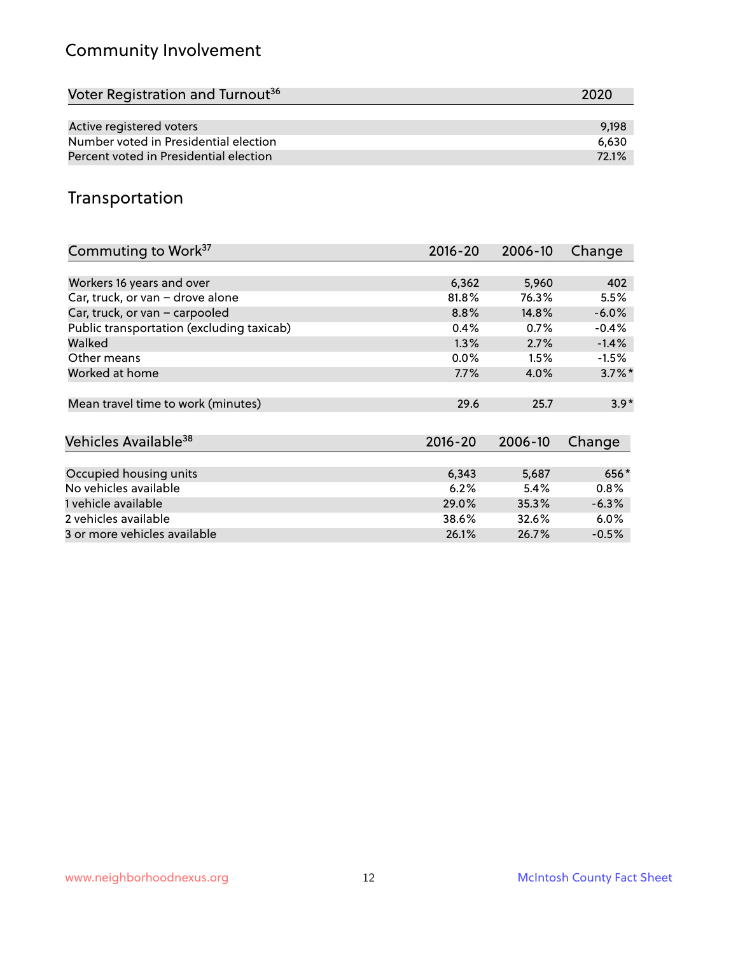# Community Involvement

| Voter Registration and Turnout <sup>36</sup> | 2020  |
|----------------------------------------------|-------|
|                                              |       |
| Active registered voters                     | 9,198 |
| Number voted in Presidential election        | 6.630 |
| Percent voted in Presidential election       | 72.1% |

## Transportation

| Commuting to Work <sup>37</sup>           | 2016-20     | 2006-10 | Change               |
|-------------------------------------------|-------------|---------|----------------------|
|                                           |             |         |                      |
| Workers 16 years and over                 | 6,362       | 5,960   | 402                  |
| Car, truck, or van - drove alone          | 81.8%       | 76.3%   | 5.5%                 |
| Car, truck, or van - carpooled            | 8.8%        | 14.8%   | $-6.0%$              |
| Public transportation (excluding taxicab) | 0.4%        | 0.7%    | $-0.4%$              |
| Walked                                    | 1.3%        | 2.7%    | $-1.4%$              |
| Other means                               | $0.0\%$     | 1.5%    | $-1.5%$              |
| Worked at home                            | 7.7%        | 4.0%    | $3.7\%$ <sup>*</sup> |
| Mean travel time to work (minutes)        | 29.6        | 25.7    | $3.9*$               |
| Vehicles Available <sup>38</sup>          | $2016 - 20$ | 2006-10 | Change               |
| Occupied housing units                    | 6,343       | 5,687   | 656*                 |
| No vehicles available                     | 6.2%        | 5.4%    | 0.8%                 |
| 1 vehicle available                       | 29.0%       | 35.3%   | $-6.3%$              |
| 2 vehicles available                      | 38.6%       | 32.6%   | 6.0%                 |
| 3 or more vehicles available              | 26.1%       | 26.7%   | $-0.5%$              |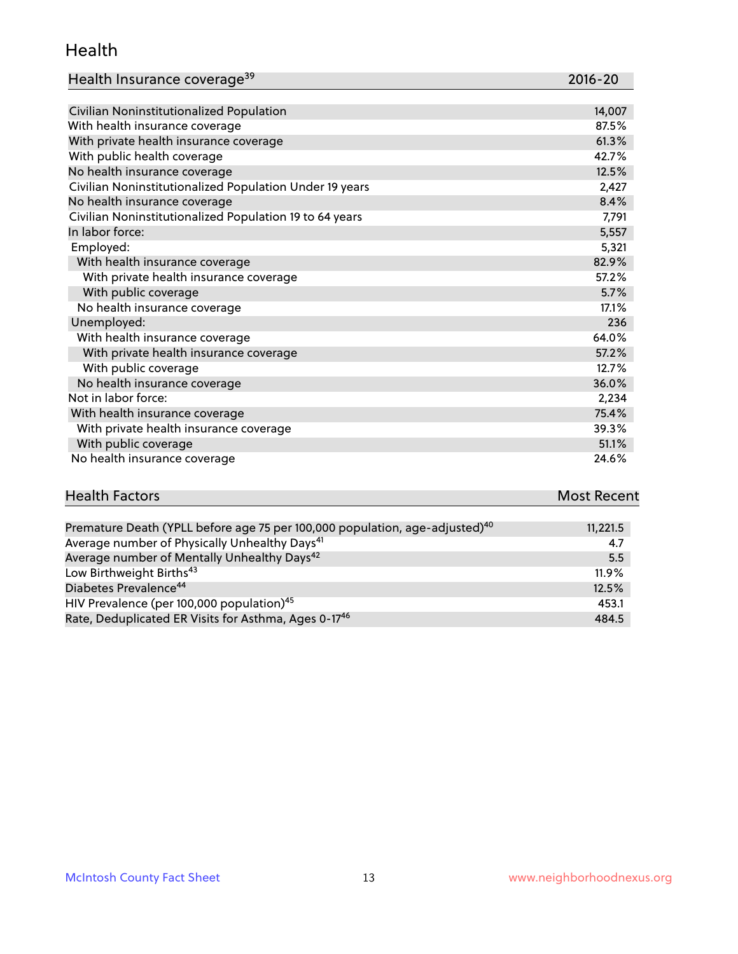#### Health

| Health Insurance coverage <sup>39</sup> | 2016-20 |
|-----------------------------------------|---------|
|-----------------------------------------|---------|

| Civilian Noninstitutionalized Population                | 14,007 |
|---------------------------------------------------------|--------|
| With health insurance coverage                          | 87.5%  |
| With private health insurance coverage                  | 61.3%  |
| With public health coverage                             | 42.7%  |
| No health insurance coverage                            | 12.5%  |
| Civilian Noninstitutionalized Population Under 19 years | 2,427  |
| No health insurance coverage                            | 8.4%   |
| Civilian Noninstitutionalized Population 19 to 64 years | 7,791  |
| In labor force:                                         | 5,557  |
| Employed:                                               | 5,321  |
| With health insurance coverage                          | 82.9%  |
| With private health insurance coverage                  | 57.2%  |
| With public coverage                                    | 5.7%   |
| No health insurance coverage                            | 17.1%  |
| Unemployed:                                             | 236    |
| With health insurance coverage                          | 64.0%  |
| With private health insurance coverage                  | 57.2%  |
| With public coverage                                    | 12.7%  |
| No health insurance coverage                            | 36.0%  |
| Not in labor force:                                     | 2,234  |
| With health insurance coverage                          | 75.4%  |
| With private health insurance coverage                  | 39.3%  |
| With public coverage                                    | 51.1%  |
| No health insurance coverage                            | 24.6%  |

| <b>Health Factors</b>                                                                   | <b>Most Recent</b> |
|-----------------------------------------------------------------------------------------|--------------------|
|                                                                                         |                    |
| Premature Death (YPLL before age 75 per 100,000 population, age-adjusted) <sup>40</sup> | 11,221.5           |

| $\frac{1}{2}$ . The compact of $\frac{1}{2}$ is the compact of the state of the state of the state of $\frac{1}{2}$ |       |
|---------------------------------------------------------------------------------------------------------------------|-------|
| Average number of Physically Unhealthy Days <sup>41</sup>                                                           | 4.7   |
| Average number of Mentally Unhealthy Days <sup>42</sup>                                                             | 5.5   |
| Low Birthweight Births <sup>43</sup>                                                                                | 11.9% |
| Diabetes Prevalence <sup>44</sup>                                                                                   | 12.5% |
| HIV Prevalence (per 100,000 population) <sup>45</sup>                                                               | 453.1 |
| Rate, Deduplicated ER Visits for Asthma, Ages 0-17 <sup>46</sup>                                                    | 484.5 |